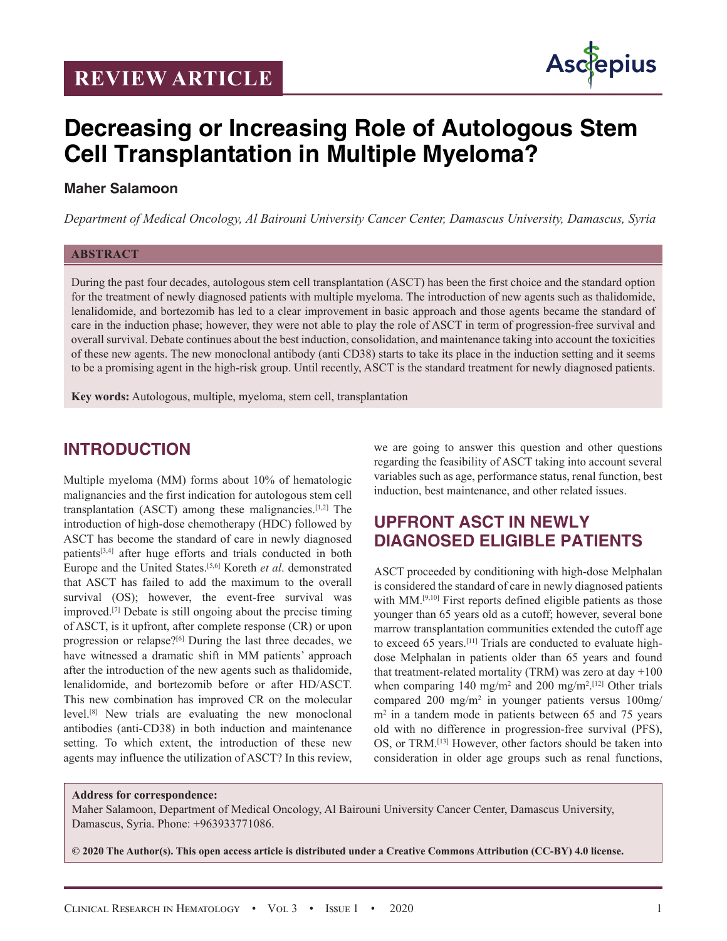# **REVIEW ARTICLE**



# **Decreasing or Increasing Role of Autologous Stem Cell Transplantation in Multiple Myeloma?**

#### **Maher Salamoon**

*Department of Medical Oncology, Al Bairouni University Cancer Center, Damascus University, Damascus, Syria*

#### **ABSTRACT**

During the past four decades, autologous stem cell transplantation (ASCT) has been the first choice and the standard option for the treatment of newly diagnosed patients with multiple myeloma. The introduction of new agents such as thalidomide, lenalidomide, and bortezomib has led to a clear improvement in basic approach and those agents became the standard of care in the induction phase; however, they were not able to play the role of ASCT in term of progression-free survival and overall survival. Debate continues about the best induction, consolidation, and maintenance taking into account the toxicities of these new agents. The new monoclonal antibody (anti CD38) starts to take its place in the induction setting and it seems to be a promising agent in the high-risk group. Until recently, ASCT is the standard treatment for newly diagnosed patients.

**Key words:** Autologous, multiple, myeloma, stem cell, transplantation

#### **INTRODUCTION**

Multiple myeloma (MM) forms about 10% of hematologic malignancies and the first indication for autologous stem cell transplantation (ASCT) among these malignancies.[1,2] The introduction of high-dose chemotherapy (HDC) followed by ASCT has become the standard of care in newly diagnosed patients<sup>[3,4]</sup> after huge efforts and trials conducted in both Europe and the United States.[5,6] Koreth *et al*. demonstrated that ASCT has failed to add the maximum to the overall survival (OS); however, the event-free survival was improved.[7] Debate is still ongoing about the precise timing of ASCT, is it upfront, after complete response (CR) or upon progression or relapse?[6] During the last three decades, we have witnessed a dramatic shift in MM patients' approach after the introduction of the new agents such as thalidomide, lenalidomide, and bortezomib before or after HD/ASCT. This new combination has improved CR on the molecular level.[8] New trials are evaluating the new monoclonal antibodies (anti-CD38) in both induction and maintenance setting. To which extent, the introduction of these new agents may influence the utilization of ASCT? In this review, we are going to answer this question and other questions regarding the feasibility of ASCT taking into account several variables such as age, performance status, renal function, best induction, best maintenance, and other related issues.

### **UPFRONT ASCT IN NEWLY DIAGNOSED ELIGIBLE PATIENTS**

ASCT proceeded by conditioning with high-dose Melphalan is considered the standard of care in newly diagnosed patients with MM.<sup>[9,10]</sup> First reports defined eligible patients as those younger than 65 years old as a cutoff; however, several bone marrow transplantation communities extended the cutoff age to exceed 65 years.[11] Trials are conducted to evaluate highdose Melphalan in patients older than 65 years and found that treatment-related mortality (TRM) was zero at day  $+100$ when comparing 140 mg/m<sup>2</sup> and 200 mg/m<sup>2 [12]</sup> Other trials compared 200 mg/m2 in younger patients versus 100mg/ m<sup>2</sup> in a tandem mode in patients between 65 and 75 years old with no difference in progression-free survival (PFS), OS, or TRM.[13] However, other factors should be taken into consideration in older age groups such as renal functions,

#### **Address for correspondence:**

Maher Salamoon, Department of Medical Oncology, Al Bairouni University Cancer Center, Damascus University, Damascus, Syria. Phone: +963933771086.

**© 2020 The Author(s). This open access article is distributed under a Creative Commons Attribution (CC-BY) 4.0 license.**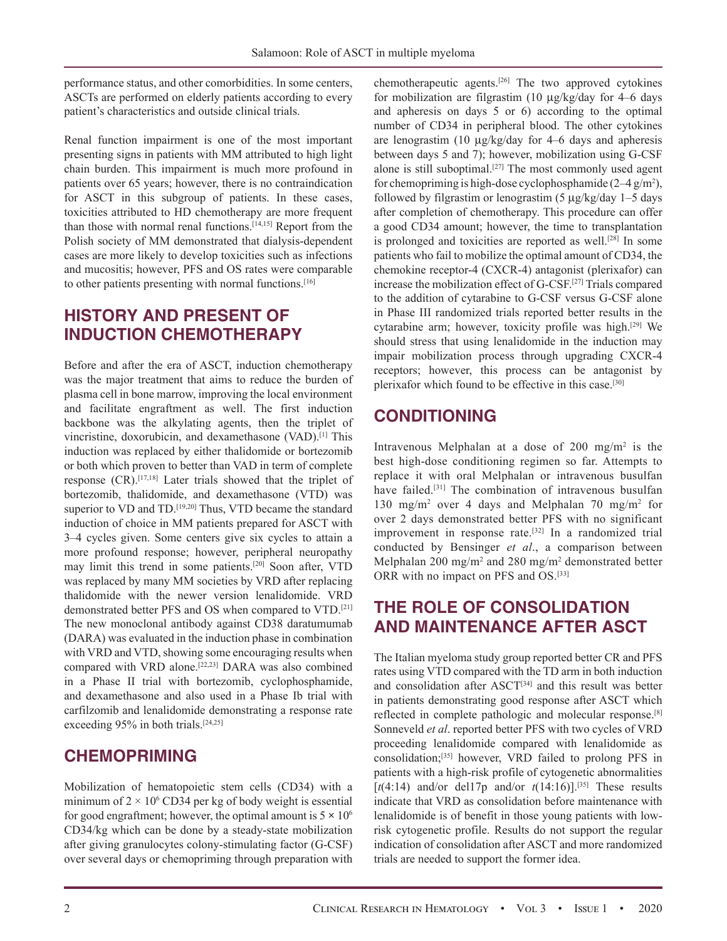performance status, and other comorbidities. In some centers, ASCTs are performed on elderly patients according to every patient's characteristics and outside clinical trials.

Renal function impairment is one of the most important presenting signs in patients with MM attributed to high light chain burden. This impairment is much more profound in patients over 65 years; however, there is no contraindication for ASCT in this subgroup of patients. In these cases, toxicities attributed to HD chemotherapy are more frequent than those with normal renal functions.[14,15] Report from the Polish society of MM demonstrated that dialysis-dependent cases are more likely to develop toxicities such as infections and mucositis; however, PFS and OS rates were comparable to other patients presenting with normal functions.<sup>[16]</sup>

### **HISTORY AND PRESENT OF INDUCTION CHEMOTHERAPY**

Before and after the era of ASCT, induction chemotherapy was the major treatment that aims to reduce the burden of plasma cell in bone marrow, improving the local environment and facilitate engraftment as well. The first induction backbone was the alkylating agents, then the triplet of vincristine, doxorubicin, and dexamethasone (VAD).[1] This induction was replaced by either thalidomide or bortezomib or both which proven to better than VAD in term of complete response (CR).[17,18] Later trials showed that the triplet of bortezomib, thalidomide, and dexamethasone (VTD) was superior to VD and TD.<sup>[19,20]</sup> Thus, VTD became the standard induction of choice in MM patients prepared for ASCT with 3–4 cycles given. Some centers give six cycles to attain a more profound response; however, peripheral neuropathy may limit this trend in some patients.[20] Soon after, VTD was replaced by many MM societies by VRD after replacing thalidomide with the newer version lenalidomide. VRD demonstrated better PFS and OS when compared to VTD.[21] The new monoclonal antibody against CD38 daratumumab (DARA) was evaluated in the induction phase in combination with VRD and VTD, showing some encouraging results when compared with VRD alone.[22,23] DARA was also combined in a Phase II trial with bortezomib, cyclophosphamide, and dexamethasone and also used in a Phase Ib trial with carfilzomib and lenalidomide demonstrating a response rate exceeding 95% in both trials.<sup>[24,25]</sup>

### **CHEMOPRIMING**

Mobilization of hematopoietic stem cells (CD34) with a minimum of  $2 \times 10^6$  CD34 per kg of body weight is essential for good engraftment; however, the optimal amount is  $5 \times 10^6$ CD34/kg which can be done by a steady-state mobilization after giving granulocytes colony-stimulating factor (G-CSF) over several days or chemopriming through preparation with

chemotherapeutic agents.[26] The two approved cytokines for mobilization are filgrastim (10 μg/kg/day for 4–6 days and apheresis on days 5 or 6) according to the optimal number of CD34 in peripheral blood. The other cytokines are lenograstim (10 μg/kg/day for 4–6 days and apheresis between days 5 and 7); however, mobilization using G-CSF alone is still suboptimal.[27] The most commonly used agent for chemopriming is high-dose cyclophosphamide  $(2-4)$  g/m<sup>2</sup>), followed by filgrastim or lenograstim (5 μg/kg/day 1–5 days after completion of chemotherapy. This procedure can offer a good CD34 amount; however, the time to transplantation is prolonged and toxicities are reported as well.<sup>[28]</sup> In some patients who fail to mobilize the optimal amount of CD34, the chemokine receptor-4 (CXCR-4) antagonist (plerixafor) can increase the mobilization effect of G-CSF.[27] Trials compared to the addition of cytarabine to G-CSF versus G-CSF alone in Phase III randomized trials reported better results in the cytarabine arm; however, toxicity profile was high.<sup>[29]</sup> We should stress that using lenalidomide in the induction may impair mobilization process through upgrading CXCR-4 receptors; however, this process can be antagonist by plerixafor which found to be effective in this case.[30]

# **CONDITIONING**

Intravenous Melphalan at a dose of 200 mg/m<sup>2</sup> is the best high-dose conditioning regimen so far. Attempts to replace it with oral Melphalan or intravenous busulfan have failed.<sup>[31]</sup> The combination of intravenous busulfan 130 mg/m2 over 4 days and Melphalan 70 mg/m2 for over 2 days demonstrated better PFS with no significant improvement in response rate.<sup>[32]</sup> In a randomized trial conducted by Bensinger *et al*., a comparison between Melphalan 200 mg/m<sup>2</sup> and 280 mg/m<sup>2</sup> demonstrated better ORR with no impact on PFS and OS.<sup>[33]</sup>

# **THE ROLE OF CONSOLIDATION AND MAINTENANCE AFTER ASCT**

The Italian myeloma study group reported better CR and PFS rates using VTD compared with the TD arm in both induction and consolidation after ASCT<sup>[34]</sup> and this result was better in patients demonstrating good response after ASCT which reflected in complete pathologic and molecular response.[8] Sonneveld *et al*. reported better PFS with two cycles of VRD proceeding lenalidomide compared with lenalidomide as consolidation;[35] however, VRD failed to prolong PFS in patients with a high-risk profile of cytogenetic abnormalities [ $t(4:14)$  and/or del17p and/or  $t(14:16)$ ].<sup>[35]</sup> These results indicate that VRD as consolidation before maintenance with lenalidomide is of benefit in those young patients with lowrisk cytogenetic profile. Results do not support the regular indication of consolidation after ASCT and more randomized trials are needed to support the former idea.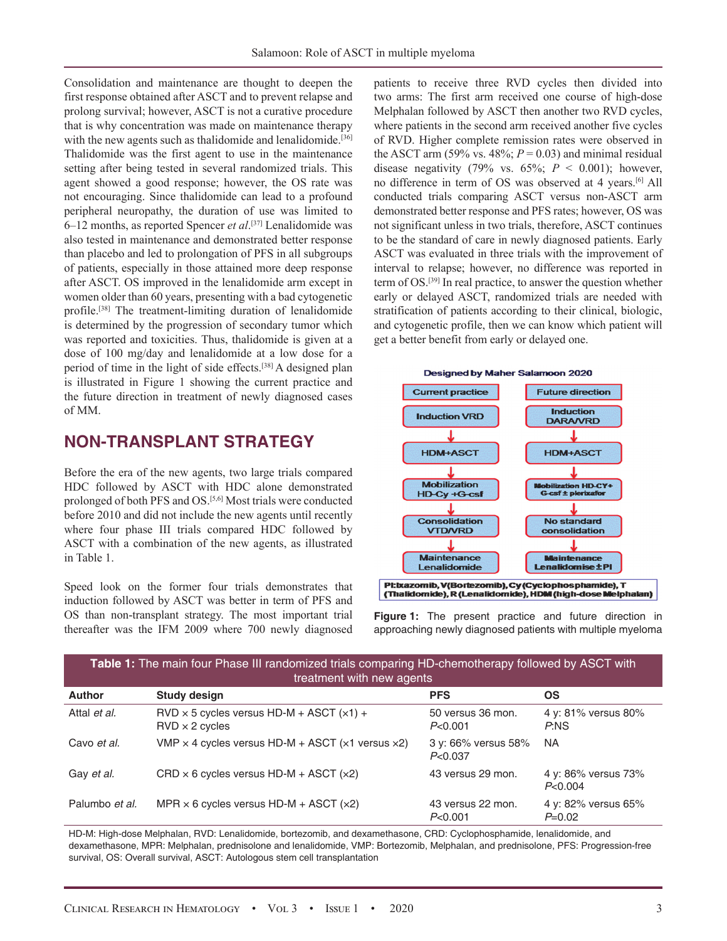Consolidation and maintenance are thought to deepen the first response obtained after ASCT and to prevent relapse and prolong survival; however, ASCT is not a curative procedure that is why concentration was made on maintenance therapy with the new agents such as thalidomide and lenalidomide.<sup>[36]</sup> Thalidomide was the first agent to use in the maintenance setting after being tested in several randomized trials. This agent showed a good response; however, the OS rate was not encouraging. Since thalidomide can lead to a profound peripheral neuropathy, the duration of use was limited to 6–12 months, as reported Spencer *et al*. [37] Lenalidomide was also tested in maintenance and demonstrated better response than placebo and led to prolongation of PFS in all subgroups of patients, especially in those attained more deep response after ASCT. OS improved in the lenalidomide arm except in women older than 60 years, presenting with a bad cytogenetic profile.[38] The treatment-limiting duration of lenalidomide is determined by the progression of secondary tumor which was reported and toxicities. Thus, thalidomide is given at a dose of 100 mg/day and lenalidomide at a low dose for a period of time in the light of side effects.[38] A designed plan is illustrated in Figure 1 showing the current practice and the future direction in treatment of newly diagnosed cases of MM.

#### **NON-TRANSPLANT STRATEGY**

Before the era of the new agents, two large trials compared HDC followed by ASCT with HDC alone demonstrated prolonged of both PFS and OS.[5,6] Most trials were conducted before 2010 and did not include the new agents until recently where four phase III trials compared HDC followed by ASCT with a combination of the new agents, as illustrated in Table 1.

Speed look on the former four trials demonstrates that induction followed by ASCT was better in term of PFS and OS than non-transplant strategy. The most important trial thereafter was the IFM 2009 where 700 newly diagnosed

patients to receive three RVD cycles then divided into two arms: The first arm received one course of high-dose Melphalan followed by ASCT then another two RVD cycles, where patients in the second arm received another five cycles of RVD. Higher complete remission rates were observed in the ASCT arm (59% vs. 48%;  $P = 0.03$ ) and minimal residual disease negativity (79% vs.  $65\%$ ;  $P < 0.001$ ); however, no difference in term of OS was observed at 4 years.[6] All conducted trials comparing ASCT versus non-ASCT arm demonstrated better response and PFS rates; however, OS was not significant unless in two trials, therefore, ASCT continues to be the standard of care in newly diagnosed patients. Early ASCT was evaluated in three trials with the improvement of interval to relapse; however, no difference was reported in term of OS.[39] In real practice, to answer the question whether early or delayed ASCT, randomized trials are needed with stratification of patients according to their clinical, biologic, and cytogenetic profile, then we can know which patient will get a better benefit from early or delayed one.





**Figure 1:** The present practice and future direction in

| hereafter was the IFM 2009 where 700 newly diagnosed<br>approaching newly diagnosed patients with multiple myeloma<br><b>Table 1:</b> The main four Phase III randomized trials comparing HD-chemotherapy followed by ASCT with<br>treatment with new agents |                                                                            |                                |                                 |
|--------------------------------------------------------------------------------------------------------------------------------------------------------------------------------------------------------------------------------------------------------------|----------------------------------------------------------------------------|--------------------------------|---------------------------------|
|                                                                                                                                                                                                                                                              |                                                                            |                                |                                 |
| Attal et al.                                                                                                                                                                                                                                                 | $RVD \times 5$ cycles versus HD-M + ASCT $(x1)$ +<br>$RVD \times 2$ cycles | 50 versus 36 mon.<br>P<0.001   | 4 y: 81% versus 80%<br>P:NS     |
| Cavo et al.                                                                                                                                                                                                                                                  | VMP $\times$ 4 cycles versus HD-M + ASCT ( $\times$ 1 versus $\times$ 2)   | 3 y: 66% versus 58%<br>P<0.037 | NA.                             |
| Gay et al.                                                                                                                                                                                                                                                   | $CRD \times 6$ cycles versus $HD-M + ASCII$ (x2)                           | 43 versus 29 mon.              | 4 y: 86% versus 73%<br>P<0.004  |
| Palumbo et al.                                                                                                                                                                                                                                               | MPR $\times$ 6 cycles versus HD-M + ASCT ( $\times$ 2)                     | 43 versus 22 mon.<br>P<0.001   | 4 y: 82% versus 65%<br>$P=0.02$ |

HD-M: High-dose Melphalan, RVD: Lenalidomide, bortezomib, and dexamethasone, CRD: Cyclophosphamide, lenalidomide, and dexamethasone, MPR: Melphalan, prednisolone and lenalidomide, VMP: Bortezomib, Melphalan, and prednisolone, PFS: Progression-free survival, OS: Overall survival, ASCT: Autologous stem cell transplantation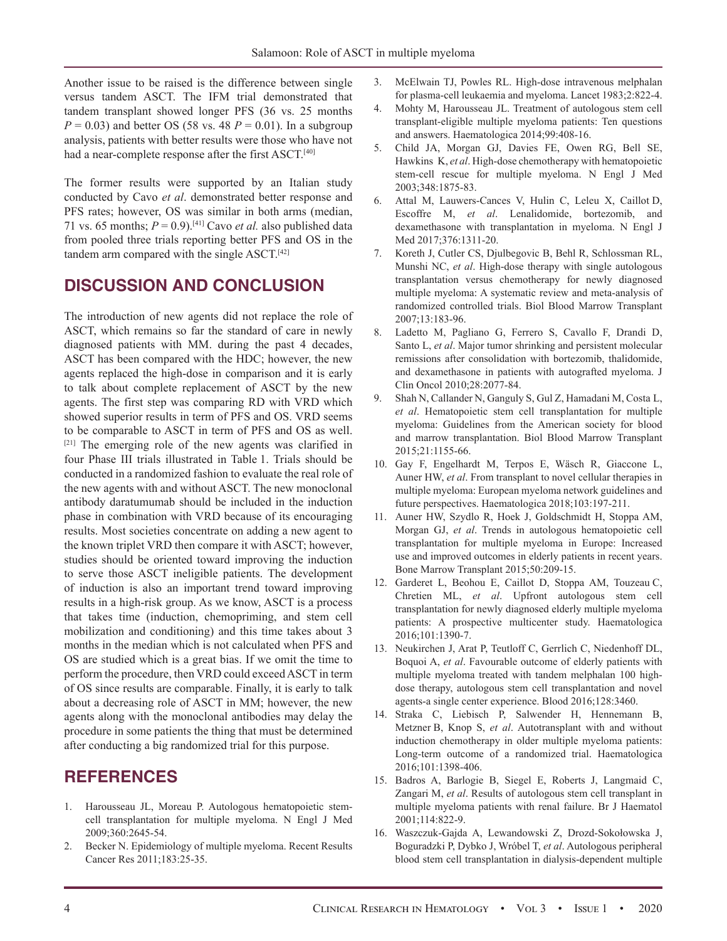Another issue to be raised is the difference between single versus tandem ASCT. The IFM trial demonstrated that tandem transplant showed longer PFS (36 vs. 25 months  $P = 0.03$ ) and better OS (58 vs. 48  $P = 0.01$ ). In a subgroup analysis, patients with better results were those who have not had a near-complete response after the first ASCT.<sup>[40]</sup>

The former results were supported by an Italian study conducted by Cavo *et al*. demonstrated better response and PFS rates; however, OS was similar in both arms (median, 71 vs. 65 months;  $P = 0.9$ .<sup>[41]</sup> Cavo *et al.* also published data from pooled three trials reporting better PFS and OS in the tandem arm compared with the single ASCT.<sup>[42]</sup>

#### **DISCUSSION AND CONCLUSION**

The introduction of new agents did not replace the role of ASCT, which remains so far the standard of care in newly diagnosed patients with MM. during the past 4 decades, ASCT has been compared with the HDC; however, the new agents replaced the high-dose in comparison and it is early to talk about complete replacement of ASCT by the new agents. The first step was comparing RD with VRD which showed superior results in term of PFS and OS. VRD seems to be comparable to ASCT in term of PFS and OS as well. [21] The emerging role of the new agents was clarified in four Phase III trials illustrated in Table 1. Trials should be conducted in a randomized fashion to evaluate the real role of the new agents with and without ASCT. The new monoclonal antibody daratumumab should be included in the induction phase in combination with VRD because of its encouraging results. Most societies concentrate on adding a new agent to the known triplet VRD then compare it with ASCT; however, studies should be oriented toward improving the induction to serve those ASCT ineligible patients. The development of induction is also an important trend toward improving results in a high-risk group. As we know, ASCT is a process that takes time (induction, chemopriming, and stem cell mobilization and conditioning) and this time takes about 3 months in the median which is not calculated when PFS and OS are studied which is a great bias. If we omit the time to perform the procedure, then VRD could exceed ASCT in term of OS since results are comparable. Finally, it is early to talk about a decreasing role of ASCT in MM; however, the new agents along with the monoclonal antibodies may delay the procedure in some patients the thing that must be determined after conducting a big randomized trial for this purpose.

# **REFERENCES**

- 1. Harousseau JL, Moreau P. Autologous hematopoietic stemcell transplantation for multiple myeloma. N Engl J Med 2009;360:2645-54.
- 2. Becker N. Epidemiology of multiple myeloma. Recent Results Cancer Res 2011;183:25-35.
- 3. McElwain TJ, Powles RL. High-dose intravenous melphalan for plasma-cell leukaemia and myeloma. Lancet 1983;2:822-4.
- 4. Mohty M, Harousseau JL. Treatment of autologous stem cell transplant-eligible multiple myeloma patients: Ten questions and answers. Haematologica 2014;99:408-16.
- 5. Child JA, Morgan GJ, Davies FE, Owen RG, Bell SE, Hawkins K, *et al*. High-dose chemotherapy with hematopoietic stem-cell rescue for multiple myeloma. N Engl J Med 2003;348:1875-83.
- 6. Attal M, Lauwers-Cances V, Hulin C, Leleu X, Caillot D, Escoffre M, *et al*. Lenalidomide, bortezomib, and dexamethasone with transplantation in myeloma. N Engl J Med 2017;376:1311-20.
- 7. Koreth J, Cutler CS, Djulbegovic B, Behl R, Schlossman RL, Munshi NC, *et al*. High-dose therapy with single autologous transplantation versus chemotherapy for newly diagnosed multiple myeloma: A systematic review and meta-analysis of randomized controlled trials. Biol Blood Marrow Transplant 2007;13:183-96.
- 8. Ladetto M, Pagliano G, Ferrero S, Cavallo F, Drandi D, Santo L, *et al*. Major tumor shrinking and persistent molecular remissions after consolidation with bortezomib, thalidomide, and dexamethasone in patients with autografted myeloma. J Clin Oncol 2010;28:2077-84.
- 9. Shah N, Callander N, Ganguly S, Gul Z, Hamadani M, Costa L, *et al*. Hematopoietic stem cell transplantation for multiple myeloma: Guidelines from the American society for blood and marrow transplantation. Biol Blood Marrow Transplant 2015;21:1155-66.
- 10. Gay F, Engelhardt M, Terpos E, Wäsch R, Giaccone L, Auner HW, *et al*. From transplant to novel cellular therapies in multiple myeloma: European myeloma network guidelines and future perspectives. Haematologica 2018;103:197-211.
- 11. Auner HW, Szydlo R, Hoek J, Goldschmidt H, Stoppa AM, Morgan GJ, *et al*. Trends in autologous hematopoietic cell transplantation for multiple myeloma in Europe: Increased use and improved outcomes in elderly patients in recent years. Bone Marrow Transplant 2015;50:209-15.
- 12. Garderet L, Beohou E, Caillot D, Stoppa AM, Touzeau C, Chretien ML, *et al*. Upfront autologous stem cell transplantation for newly diagnosed elderly multiple myeloma patients: A prospective multicenter study. Haematologica 2016;101:1390-7.
- 13. Neukirchen J, Arat P, Teutloff C, Gerrlich C, Niedenhoff DL, Boquoi A, *et al*. Favourable outcome of elderly patients with multiple myeloma treated with tandem melphalan 100 highdose therapy, autologous stem cell transplantation and novel agents-a single center experience. Blood 2016;128:3460.
- 14. Straka C, Liebisch P, Salwender H, Hennemann B, Metzner B, Knop S, *et al*. Autotransplant with and without induction chemotherapy in older multiple myeloma patients: Long-term outcome of a randomized trial. Haematologica 2016;101:1398-406.
- 15. Badros A, Barlogie B, Siegel E, Roberts J, Langmaid C, Zangari M, *et al*. Results of autologous stem cell transplant in multiple myeloma patients with renal failure. Br J Haematol 2001;114:822-9.
- 16. Waszczuk-Gajda A, Lewandowski Z, Drozd-Sokołowska J, Boguradzki P, Dybko J, Wróbel T, *et al*. Autologous peripheral blood stem cell transplantation in dialysis-dependent multiple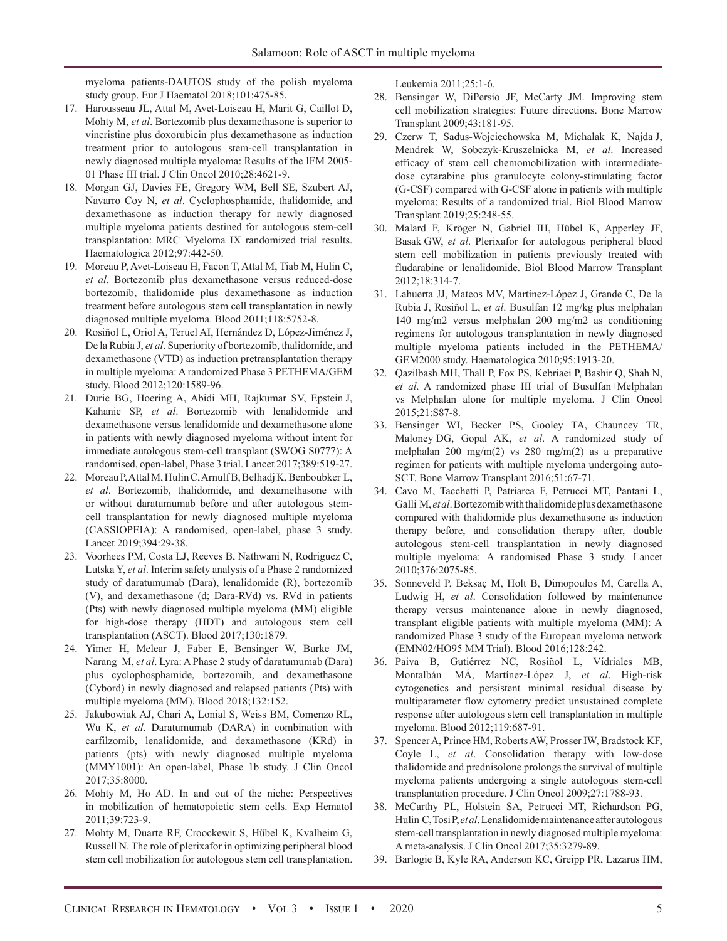myeloma patients-DAUTOS study of the polish myeloma study group. Eur J Haematol 2018;101:475-85.

- 17. Harousseau JL, Attal M, Avet-Loiseau H, Marit G, Caillot D, Mohty M, *et al*. Bortezomib plus dexamethasone is superior to vincristine plus doxorubicin plus dexamethasone as induction treatment prior to autologous stem-cell transplantation in newly diagnosed multiple myeloma: Results of the IFM 2005- 01 Phase III trial. J Clin Oncol 2010;28:4621-9.
- 18. Morgan GJ, Davies FE, Gregory WM, Bell SE, Szubert AJ, Navarro Coy N, *et al*. Cyclophosphamide, thalidomide, and dexamethasone as induction therapy for newly diagnosed multiple myeloma patients destined for autologous stem-cell transplantation: MRC Myeloma IX randomized trial results. Haematologica 2012;97:442-50.
- 19. Moreau P, Avet-Loiseau H, Facon T, Attal M, Tiab M, Hulin C, *et al*. Bortezomib plus dexamethasone versus reduced-dose bortezomib, thalidomide plus dexamethasone as induction treatment before autologous stem cell transplantation in newly diagnosed multiple myeloma. Blood 2011;118:5752-8.
- 20. Rosiñol L, Oriol A, Teruel AI, Hernández D, López-Jiménez J, De la Rubia J, *et al*. Superiority of bortezomib, thalidomide, and dexamethasone (VTD) as induction pretransplantation therapy in multiple myeloma: A randomized Phase 3 PETHEMA/GEM study. Blood 2012;120:1589-96.
- 21. Durie BG, Hoering A, Abidi MH, Rajkumar SV, Epstein J, Kahanic SP, *et al*. Bortezomib with lenalidomide and dexamethasone versus lenalidomide and dexamethasone alone in patients with newly diagnosed myeloma without intent for immediate autologous stem-cell transplant (SWOG S0777): A randomised, open-label, Phase 3 trial. Lancet 2017;389:519-27.
- 22. Moreau P, Attal M, Hulin C, Arnulf B, Belhadj K, Benboubker L, *et al*. Bortezomib, thalidomide, and dexamethasone with or without daratumumab before and after autologous stemcell transplantation for newly diagnosed multiple myeloma (CASSIOPEIA): A randomised, open-label, phase 3 study. Lancet 2019;394:29-38.
- 23. Voorhees PM, Costa LJ, Reeves B, Nathwani N, Rodriguez C, Lutska Y, *et al*. Interim safety analysis of a Phase 2 randomized study of daratumumab (Dara), lenalidomide (R), bortezomib (V), and dexamethasone (d; Dara-RVd) vs. RVd in patients (Pts) with newly diagnosed multiple myeloma (MM) eligible for high-dose therapy (HDT) and autologous stem cell transplantation (ASCT). Blood 2017;130:1879.
- 24. Yimer H, Melear J, Faber E, Bensinger W, Burke JM, Narang M, *et al*. Lyra: A Phase 2 study of daratumumab (Dara) plus cyclophosphamide, bortezomib, and dexamethasone (Cybord) in newly diagnosed and relapsed patients (Pts) with multiple myeloma (MM). Blood 2018;132:152.
- 25. Jakubowiak AJ, Chari A, Lonial S, Weiss BM, Comenzo RL, Wu K, *et al*. Daratumumab (DARA) in combination with carfilzomib, lenalidomide, and dexamethasone (KRd) in patients (pts) with newly diagnosed multiple myeloma (MMY1001): An open-label, Phase 1b study. J Clin Oncol 2017;35:8000.
- 26. Mohty M, Ho AD. In and out of the niche: Perspectives in mobilization of hematopoietic stem cells. Exp Hematol 2011;39:723-9.
- 27. Mohty M, Duarte RF, Croockewit S, Hübel K, Kvalheim G, Russell N. The role of plerixafor in optimizing peripheral blood stem cell mobilization for autologous stem cell transplantation.

Leukemia 2011;25:1-6.

- 28. Bensinger W, DiPersio JF, McCarty JM. Improving stem cell mobilization strategies: Future directions. Bone Marrow Transplant 2009;43:181-95.
- 29. Czerw T, Sadus-Wojciechowska M, Michalak K, Najda J, Mendrek W, Sobczyk-Kruszelnicka M, *et al*. Increased efficacy of stem cell chemomobilization with intermediatedose cytarabine plus granulocyte colony-stimulating factor (G-CSF) compared with G-CSF alone in patients with multiple myeloma: Results of a randomized trial. Biol Blood Marrow Transplant 2019;25:248-55.
- 30. Malard F, Kröger N, Gabriel IH, Hübel K, Apperley JF, Basak GW, *et al*. Plerixafor for autologous peripheral blood stem cell mobilization in patients previously treated with fludarabine or lenalidomide. Biol Blood Marrow Transplant 2012;18:314-7.
- 31. Lahuerta JJ, Mateos MV, Martínez-López J, Grande C, De la Rubia J, Rosiñol L, *et al*. Busulfan 12 mg/kg plus melphalan 140 mg/m2 versus melphalan 200 mg/m2 as conditioning regimens for autologous transplantation in newly diagnosed multiple myeloma patients included in the PETHEMA/ GEM2000 study. Haematologica 2010;95:1913-20.
- 32. Qazilbash MH, Thall P, Fox PS, Kebriaei P, Bashir Q, Shah N, *et al*. A randomized phase III trial of Busulfan+Melphalan vs Melphalan alone for multiple myeloma. J Clin Oncol 2015;21:S87-8.
- 33. Bensinger WI, Becker PS, Gooley TA, Chauncey TR, Maloney DG, Gopal AK, *et al*. A randomized study of melphalan 200 mg/m(2) vs 280 mg/m(2) as a preparative regimen for patients with multiple myeloma undergoing auto-SCT. Bone Marrow Transplant 2016;51:67-71.
- 34. Cavo M, Tacchetti P, Patriarca F, Petrucci MT, Pantani L, Galli M, *et al*. Bortezomib with thalidomide plus dexamethasone compared with thalidomide plus dexamethasone as induction therapy before, and consolidation therapy after, double autologous stem-cell transplantation in newly diagnosed multiple myeloma: A randomised Phase 3 study. Lancet 2010;376:2075-85.
- 35. Sonneveld P, Beksaç M, Holt B, Dimopoulos M, Carella A, Ludwig H, *et al*. Consolidation followed by maintenance therapy versus maintenance alone in newly diagnosed, transplant eligible patients with multiple myeloma (MM): A randomized Phase 3 study of the European myeloma network (EMN02/HO95 MM Trial). Blood 2016;128:242.
- 36. Paiva B, Gutiérrez NC, Rosiñol L, Vídriales MB, Montalbán MÁ, Martínez-López J, *et al*. High-risk cytogenetics and persistent minimal residual disease by multiparameter flow cytometry predict unsustained complete response after autologous stem cell transplantation in multiple myeloma. Blood 2012;119:687-91.
- 37. Spencer A, Prince HM, Roberts AW, Prosser IW, Bradstock KF, Coyle L, *et al*. Consolidation therapy with low-dose thalidomide and prednisolone prolongs the survival of multiple myeloma patients undergoing a single autologous stem-cell transplantation procedure. J Clin Oncol 2009;27:1788-93.
- 38. McCarthy PL, Holstein SA, Petrucci MT, Richardson PG, Hulin C, Tosi P, *et al*. Lenalidomide maintenance after autologous stem-cell transplantation in newly diagnosed multiple myeloma: A meta-analysis. J Clin Oncol 2017;35:3279-89.
- 39. Barlogie B, Kyle RA, Anderson KC, Greipp PR, Lazarus HM,